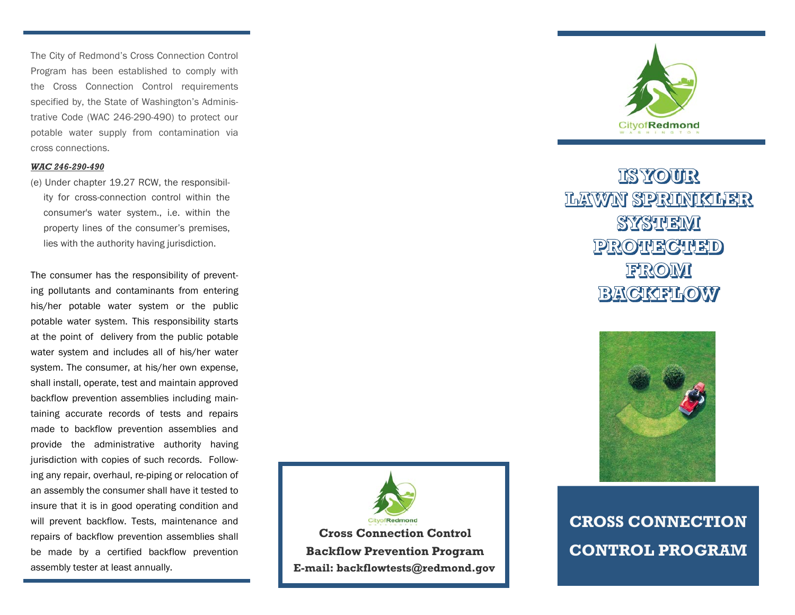The City of Redmond's Cross Connection Control Program has been established to comply with the Cross Connection Control requirements specified by, the State of Washington's Administrative Code (WAC 246-290-490) to protect our potable water supply from contamination via cross connections.

#### *WAC 246-290-490*

(e) Under chapter 19.27 RCW, the responsibility for cross-connection control within the consumer's water system., i.e. within the property lines of the consumer's premises, lies with the authority having jurisdiction.

The consumer has the responsibility of preventing pollutants and contaminants from entering his/her potable water system or the public potable water system. This responsibility starts at the point of delivery from the public potable water system and includes all of his/her water system. The consumer, at his/her own expense, shall install, operate, test and maintain approved backflow prevention assemblies including maintaining accurate records of tests and repairs made to backflow prevention assemblies and provide the administrative authority having jurisdiction with copies of such records. Following any repair, overhaul, re-piping or relocation of an assembly the consumer shall have it tested to insure that it is in good operating condition and will prevent backflow. Tests, maintenance and repairs of backflow prevention assemblies shall be made by a certified backflow prevention assembly tester at least annually.

Redmond **Cross Connection Control Backflow Prevention Program E-mail: backflowtests@redmond.gov**



# **IS YOUR** LAWN SPRINKILER SYSTEMI **PROTECTED** FROM **BACKFLOW**



**CROSS CONNECTION CONTROL PROGRAM**